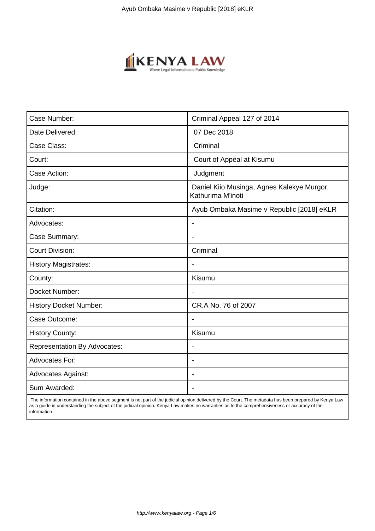

| Case Number:                        | Criminal Appeal 127 of 2014                                     |
|-------------------------------------|-----------------------------------------------------------------|
| Date Delivered:                     | 07 Dec 2018                                                     |
| Case Class:                         | Criminal                                                        |
| Court:                              | Court of Appeal at Kisumu                                       |
| Case Action:                        | Judgment                                                        |
| Judge:                              | Daniel Kiio Musinga, Agnes Kalekye Murgor,<br>Kathurima M'inoti |
| Citation:                           | Ayub Ombaka Masime v Republic [2018] eKLR                       |
| Advocates:                          |                                                                 |
| Case Summary:                       |                                                                 |
| <b>Court Division:</b>              | Criminal                                                        |
| <b>History Magistrates:</b>         | $\blacksquare$                                                  |
| County:                             | Kisumu                                                          |
| Docket Number:                      |                                                                 |
| <b>History Docket Number:</b>       | CR.A No. 76 of 2007                                             |
| Case Outcome:                       |                                                                 |
| <b>History County:</b>              | Kisumu                                                          |
| <b>Representation By Advocates:</b> | $\overline{\phantom{a}}$                                        |
| Advocates For:                      |                                                                 |
| <b>Advocates Against:</b>           |                                                                 |
| Sum Awarded:                        |                                                                 |

 The information contained in the above segment is not part of the judicial opinion delivered by the Court. The metadata has been prepared by Kenya Law as a guide in understanding the subject of the judicial opinion. Kenya Law makes no warranties as to the comprehensiveness or accuracy of the information.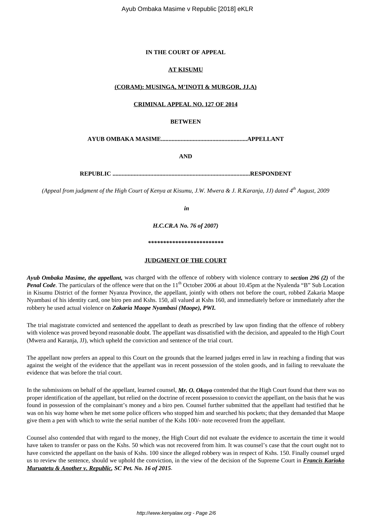# **IN THE COURT OF APPEAL**

## **AT KISUMU**

## **(CORAM): MUSINGA, M'INOTI & MURGOR, JJ.A)**

## **CRIMINAL APPEAL NO. 127 OF 2014**

## **BETWEEN**

**AYUB OMBAKA MASIME.........................................................APPELLANT**

**AND**

**REPUBLIC ...........................................................................................RESPONDENT**

*(Appeal from judgment of the High Court of Kenya at Kisumu, J.W. Mwera & J. R.Karanja, JJ) dated 4th August, 2009*

*in*

*H.C.CR.A No. 76 of 2007)*

*\*\*\*\*\*\*\*\*\*\*\*\*\*\*\*\*\*\*\*\*\*\*\*\*\**

#### **JUDGMENT OF THE COURT**

*Ayub Ombaka Masime, the appellant,* was charged with the offence of robbery with violence contrary to *section 296 (2)* of the *Penal Code*. The particulars of the offence were that on the 11<sup>th</sup> October 2006 at about 10.45pm at the Nyalenda "B" Sub Location in Kisumu District of the former Nyanza Province, the appellant, jointly with others not before the court, robbed Zakaria Maope Nyambasi of his identity card, one biro pen and Kshs. 150, all valued at Kshs 160, and immediately before or immediately after the robbery he used actual violence on *Zakaria Maope Nyambasi (Maope), PWI.*

The trial magistrate convicted and sentenced the appellant to death as prescribed by law upon finding that the offence of robbery with violence was proved beyond reasonable doubt. The appellant was dissatisfied with the decision, and appealed to the High Court (Mwera and Karanja, JJ), which upheld the conviction and sentence of the trial court.

The appellant now prefers an appeal to this Court on the grounds that the learned judges erred in law in reaching a finding that was against the weight of the evidence that the appellant was in recent possession of the stolen goods, and in failing to reevaluate the evidence that was before the trial court.

In the submissions on behalf of the appellant, learned counsel, *Mr. O. Okoyo* contended that the High Court found that there was no proper identification of the appellant, but relied on the doctrine of recent possession to convict the appellant, on the basis that he was found in possession of the complainant's money and a biro pen. Counsel further submitted that the appellant had testified that he was on his way home when he met some police officers who stopped him and searched his pockets; that they demanded that Maope give them a pen with which to write the serial number of the Kshs 100/- note recovered from the appellant.

Counsel also contended that with regard to the money, the High Court did not evaluate the evidence to ascertain the time it would have taken to transfer or pass on the Kshs. 50 which was not recovered from him. It was counsel's case that the court ought not to have convicted the appellant on the basis of Kshs. 100 since the alleged robbery was in respect of Kshs. 150. Finally counsel urged us to review the sentence, should we uphold the conviction, in the view of the decision of the Supreme Court in *Francis Karioko Muruatetu & Another v. Republic, SC Pet. No. 16 of 2015*.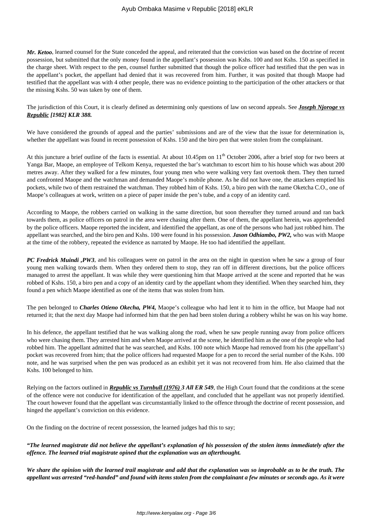*Mr. Ketoo*, learned counsel for the State conceded the appeal, and reiterated that the conviction was based on the doctrine of recent possession, but submitted that the only money found in the appellant's possession was Kshs. 100 and not Kshs. 150 as specified in the charge sheet. With respect to the pen, counsel further submitted that though the police officer had testified that the pen was in the appellant's pocket, the appellant had denied that it was recovered from him. Further, it was posited that though Maope had testified that the appellant was with 4 other people, there was no evidence pointing to the participation of the other attackers or that the missing Kshs. 50 was taken by one of them.

The jurisdiction of this Court, it is clearly defined as determining only questions of law on second appeals. See *Joseph Njoroge vs Republic [1982] KLR 388.*

We have considered the grounds of appeal and the parties' submissions and are of the view that the issue for determination is, whether the appellant was found in recent possession of Kshs. 150 and the biro pen that were stolen from the complainant.

At this juncture a brief outline of the facts is essential. At about 10.45pm on 11<sup>th</sup> October 2006, after a brief stop for two beers at Yanga Bar, Maope, an employee of Telkom Kenya, requested the bar's watchman to escort him to his house which was about 200 metres away. After they walked for a few minutes, four young men who were walking very fast overtook them. They then turned and confronted Maope and the watchman and demanded Maope's mobile phone. As he did not have one, the attackers emptied his pockets, while two of them restrained the watchman. They robbed him of Kshs. 150, a biro pen with the name Oketcha C.O., one of Maope's colleagues at work, written on a piece of paper inside the pen's tube, and a copy of an identity card.

According to Maope, the robbers carried on walking in the same direction, but soon thereafter they turned around and ran back towards them, as police officers on patrol in the area were chasing after them. One of them, the appellant herein, was apprehended by the police officers. Maope reported the incident, and identified the appellant, as one of the persons who had just robbed him. The appellant was searched, and the biro pen and Kshs. 100 were found in his possession. *Jason Odhiambo, PW2,* who was with Maope at the time of the robbery, repeated the evidence as narrated by Maope. He too had identified the appellant.

*PC Fredrick Muindi*, *PW3*, and his colleagues were on patrol in the area on the night in question when he saw a group of four young men walking towards them. When they ordered them to stop, they ran off in different directions, but the police officers managed to arrest the appellant. It was while they were questioning him that Maope arrived at the scene and reported that he was robbed of Kshs. 150, a biro pen and a copy of an identity card by the appellant whom they identified. When they searched him, they found a pen which Maope identified as one of the items that was stolen from him.

The pen belonged to *Charles Otieno Okecha, PW4,* Maope's colleague who had lent it to him in the office, but Maope had not returned it; that the next day Maope had informed him that the pen had been stolen during a robbery whilst he was on his way home.

In his defence, the appellant testified that he was walking along the road, when he saw people running away from police officers who were chasing them. They arrested him and when Maope arrived at the scene, he identified him as the one of the people who had robbed him. The appellant admitted that he was searched, and Kshs. 100 note which Maope had removed from his (the appellant's) pocket was recovered from him; that the police officers had requested Maope for a pen to record the serial number of the Kshs. 100 note, and he was surprised when the pen was produced as an exhibit yet it was not recovered from him. He also claimed that the Kshs. 100 belonged to him.

Relying on the factors outlined in *Republic vs Turnbull (1976) 3 All ER 549*, the High Court found that the conditions at the scene of the offence were not conducive for identification of the appellant, and concluded that he appellant was not properly identified. The court however found that the appellant was circumstantially linked to the offence through the doctrine of recent possession, and hinged the appellant's conviction on this evidence.

On the finding on the doctrine of recent possession, the learned judges had this to say;

*"The learned magistrate did not believe the appellant's explanation of his possession of the stolen items immediately after the offence. The learned trial magistrate opined that the explanation was an afterthought.* 

*We share the opinion with the learned trail magistrate and add that the explanation was so improbable as to be the truth. The appellant was arrested "red-handed" and found with items stolen from the complainant a few minutes or seconds ago. As it were*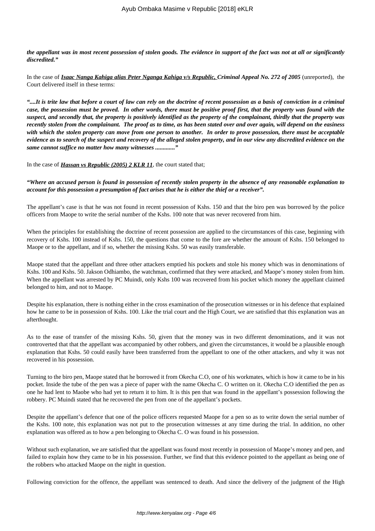*the appellant was in most recent possession of stolen goods. The evidence in support of the fact was not at all or significantly discredited."*

In the case of *Isaac Nanga Kahiga alias Peter Nganga Kahiga v/s Republic, Criminal Appeal No. 272 of 2005* (unreported), the Court delivered itself in these terms:

*"....It is trite law that before a court of law can rely on the doctrine of recent possession as a basis of conviction in a criminal case, the possession must be proved. In other words, there must be positive proof first, that the property was found with the suspect, and secondly that, the property is positively identified as the property of the complainant, thirdly that the property was recently stolen from the complainant. The proof as to time, as has been stated over and over again, will depend on the easiness with which the stolen property can move from one person to another. In order to prove possession, there must be acceptable evidence as to search of the suspect and recovery of the alleged stolen property, and in our view any discredited evidence on the same cannot suffice no matter how many witnesses ............."*

In the case of *Hassan vs Republic (2005) 2 KLR 11*, the court stated that;

*"Where an accused person is found in possession of recently stolen property in the absence of any reasonable explanation to account for this possession a presumption of fact arises that he is either the thief or a receiver".* 

The appellant's case is that he was not found in recent possession of Kshs. 150 and that the biro pen was borrowed by the police officers from Maope to write the serial number of the Kshs. 100 note that was never recovered from him.

When the principles for establishing the doctrine of recent possession are applied to the circumstances of this case, beginning with recovery of Kshs. 100 instead of Kshs. 150, the questions that come to the fore are whether the amount of Kshs. 150 belonged to Maope or to the appellant, and if so, whether the missing Kshs. 50 was easily transferable.

Maope stated that the appellant and three other attackers emptied his pockets and stole his money which was in denominations of Kshs. 100 and Kshs. 50. Jakson Odhiambo, the watchman, confirmed that they were attacked, and Maope's money stolen from him. When the appellant was arrested by PC Muindi, only Kshs 100 was recovered from his pocket which money the appellant claimed belonged to him, and not to Maope.

Despite his explanation, there is nothing either in the cross examination of the prosecution witnesses or in his defence that explained how he came to be in possession of Kshs. 100. Like the trial court and the High Court, we are satisfied that this explanation was an afterthought.

As to the ease of transfer of the missing Kshs. 50, given that the money was in two different denominations, and it was not controverted that that the appellant was accompanied by other robbers, and given the circumstances, it would be a plausible enough explanation that Kshs. 50 could easily have been transferred from the appellant to one of the other attackers, and why it was not recovered in his possession.

Turning to the biro pen, Maope stated that he borrowed it from Okecha C.O, one of his workmates, which is how it came to be in his pocket. Inside the tube of the pen was a piece of paper with the name Okecha C. O written on it. Okecha C.O identified the pen as one he had lent to Maobe who had yet to return it to him. It is this pen that was found in the appellant's possession following the robbery. PC Muindi stated that he recovered the pen from one of the appellant's pockets.

Despite the appellant's defence that one of the police officers requested Maope for a pen so as to write down the serial number of the Kshs. 100 note, this explanation was not put to the prosecution witnesses at any time during the trial. In addition, no other explanation was offered as to how a pen belonging to Okecha C. O was found in his possession.

Without such explanation, we are satisfied that the appellant was found most recently in possession of Maope's money and pen, and failed to explain how they came to be in his possession. Further, we find that this evidence pointed to the appellant as being one of the robbers who attacked Maope on the night in question.

Following conviction for the offence, the appellant was sentenced to death. And since the delivery of the judgment of the High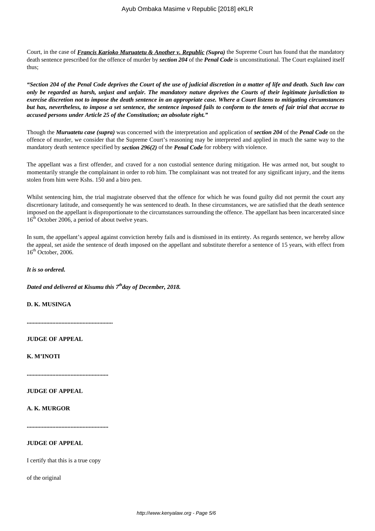Court, in the case of *Francis Karioko Muruatetu & Another v. Republic (Supra)* the Supreme Court has found that the mandatory death sentence prescribed for the offence of murder by *section 204* of the *Penal Code* is unconstitutional. The Court explained itself thus;

*"Section 204 of the Penal Code deprives the Court of the use of judicial discretion in a matter of life and death. Such law can only be regarded as harsh, unjust and unfair. The mandatory nature deprives the Courts of their legitimate jurisdiction to exercise discretion not to impose the death sentence in an appropriate case. Where a Court listens to mitigating circumstances but has, nevertheless, to impose a set sentence, the sentence imposed fails to conform to the tenets of fair trial that accrue to accused persons under Article 25 of the Constitution; an absolute right."* 

Though the *Muruatetu case (supra)* was concerned with the interpretation and application of *section 204* of the *Penal Code* on the offence of murder, we consider that the Supreme Court's reasoning may be interpreted and applied in much the same way to the mandatory death sentence specified by *section 296(2)* of the *Penal Code* for robbery with violence.

The appellant was a first offender, and craved for a non custodial sentence during mitigation. He was armed not, but sought to momentarily strangle the complainant in order to rob him. The complainant was not treated for any significant injury, and the items stolen from him were Kshs. 150 and a biro pen.

Whilst sentencing him, the trial magistrate observed that the offence for which he was found guilty did not permit the court any discretionary latitude, and consequently he was sentenced to death. In these circumstances, we are satisfied that the death sentence imposed on the appellant is disproportionate to the circumstances surrounding the offence. The appellant has been incarcerated since 16<sup>th</sup> October 2006, a period of about twelve years.

In sum, the appellant's appeal against conviction hereby fails and is dismissed in its entirety. As regards sentence, we hereby allow the appeal, set aside the sentence of death imposed on the appellant and substitute therefor a sentence of 15 years, with effect from  $16<sup>th</sup>$  October, 2006.

*It is so ordered.*

*Dated and delivered at Kisumu this 7thday of December, 2018.*

**D. K. MUSINGA**

**.........................................................**

**JUDGE OF APPEAL**

**K. M'INOTI**

**......................................................**

**JUDGE OF APPEAL**

## **A. K. MURGOR**

**......................................................**

### **JUDGE OF APPEAL**

I certify that this is a true copy

of the original